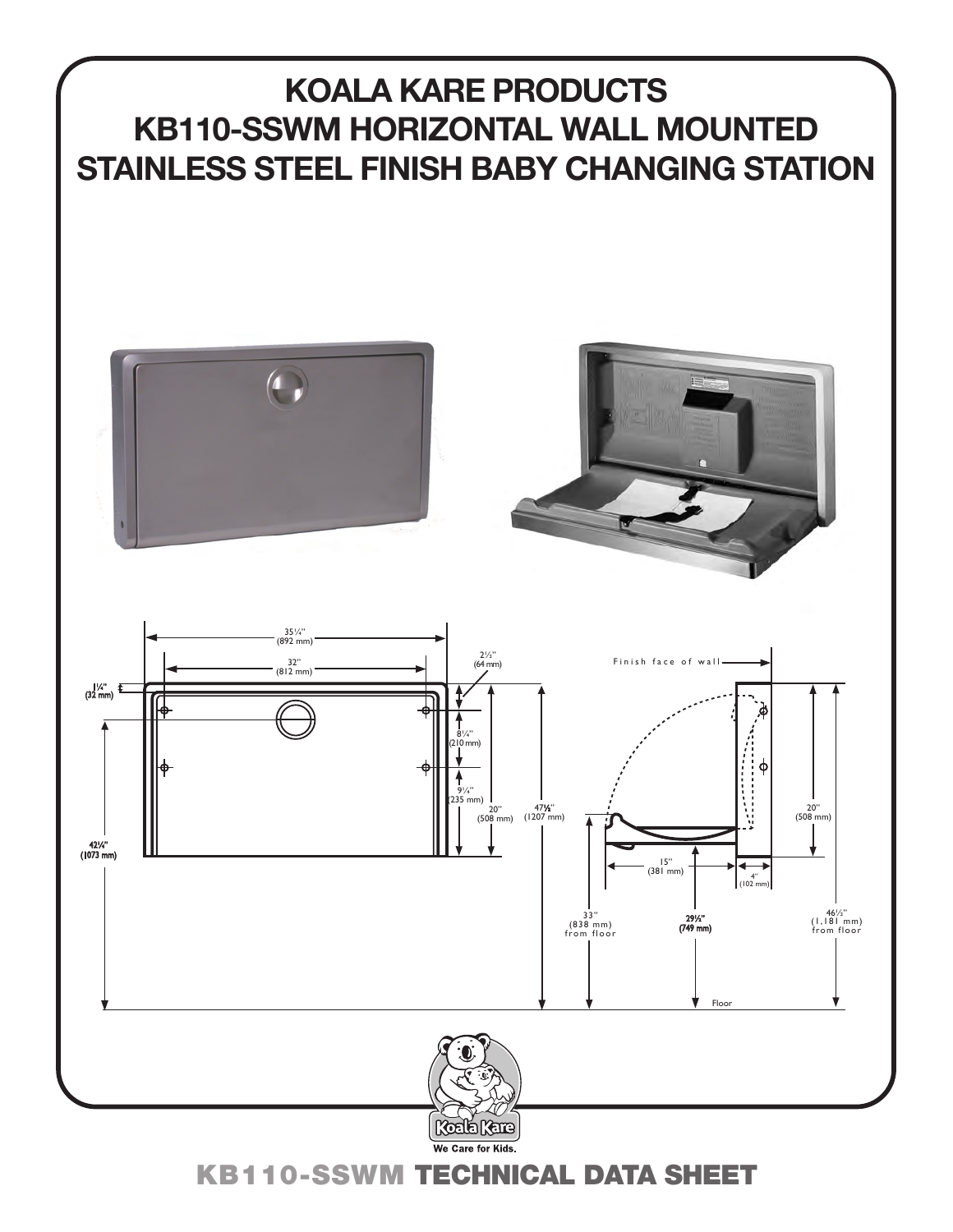# **KOALA KARE PRODUCTS KB110-SSWM HORIZONTAL WALL MOUNTED STAINLESS STEEL FINISH BABY CHANGING STATION**









KB110-SSWM TECHNICAL DATA SHEET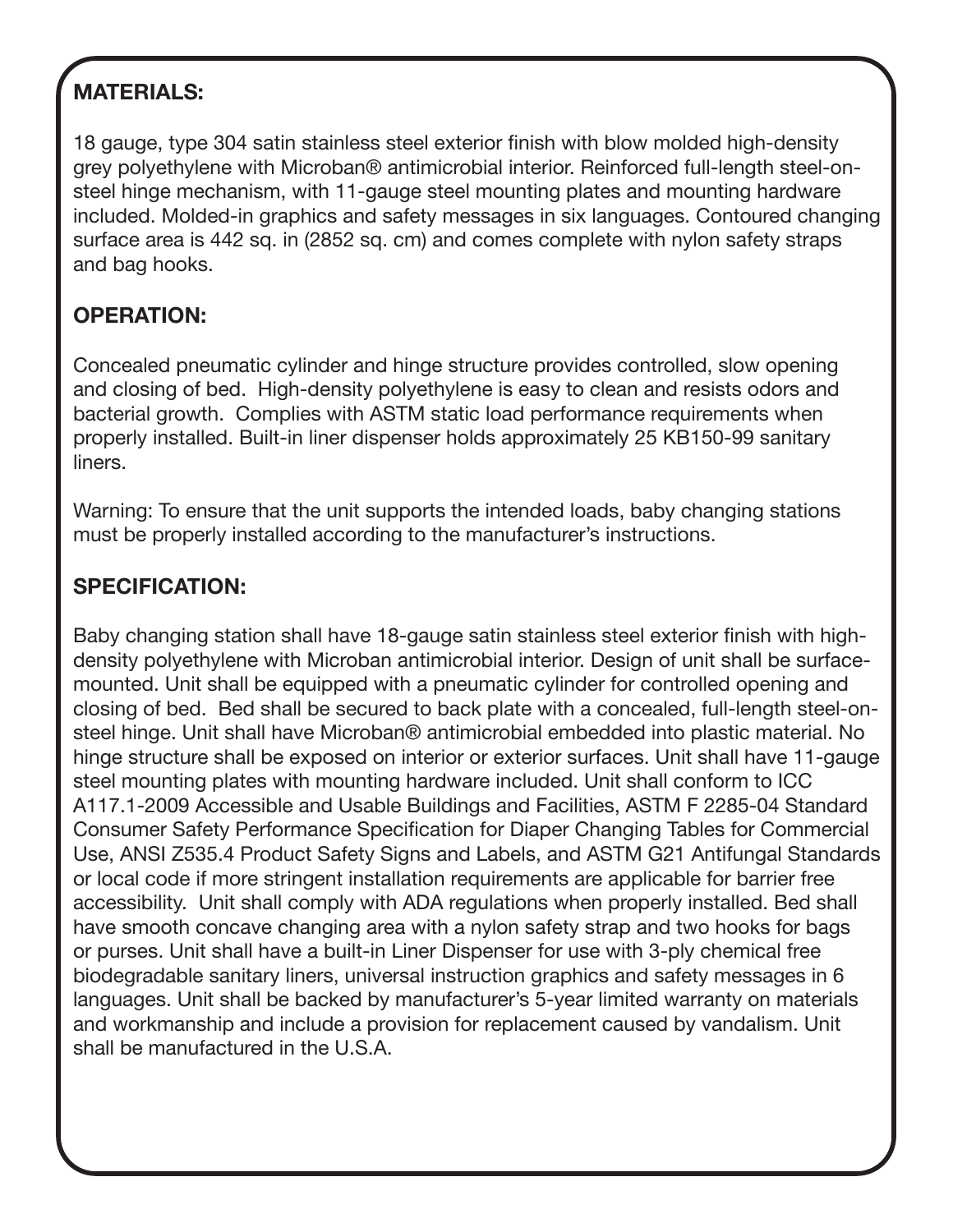## **MATERIALS:**

18 gauge, type 304 satin stainless steel exterior finish with blow molded high-density grey polyethylene with Microban® antimicrobial interior. Reinforced full-length steel-onsteel hinge mechanism, with 11-gauge steel mounting plates and mounting hardware included. Molded-in graphics and safety messages in six languages. Contoured changing surface area is 442 sq. in (2852 sq. cm) and comes complete with nylon safety straps and bag hooks.

## **OPERATION:**

Concealed pneumatic cylinder and hinge structure provides controlled, slow opening and closing of bed. High-density polyethylene is easy to clean and resists odors and bacterial growth. Complies with ASTM static load performance requirements when properly installed. Built-in liner dispenser holds approximately 25 KB150-99 sanitary liners.

Warning: To ensure that the unit supports the intended loads, baby changing stations must be properly installed according to the manufacturer's instructions.

### **SPECIFICATION:**

Baby changing station shall have 18-gauge satin stainless steel exterior finish with highdensity polyethylene with Microban antimicrobial interior. Design of unit shall be surfacemounted. Unit shall be equipped with a pneumatic cylinder for controlled opening and closing of bed. Bed shall be secured to back plate with a concealed, full-length steel-onsteel hinge. Unit shall have Microban® antimicrobial embedded into plastic material. No hinge structure shall be exposed on interior or exterior surfaces. Unit shall have 11-gauge steel mounting plates with mounting hardware included. Unit shall conform to ICC A117.1-2009 Accessible and Usable Buildings and Facilities, ASTM F 2285-04 Standard Consumer Safety Performance Specification for Diaper Changing Tables for Commercial Use, ANSI Z535.4 Product Safety Signs and Labels, and ASTM G21 Antifungal Standards or local code if more stringent installation requirements are applicable for barrier free accessibility. Unit shall comply with ADA regulations when properly installed. Bed shall have smooth concave changing area with a nylon safety strap and two hooks for bags or purses. Unit shall have a built-in Liner Dispenser for use with 3-ply chemical free biodegradable sanitary liners, universal instruction graphics and safety messages in 6 languages. Unit shall be backed by manufacturer's 5-year limited warranty on materials and workmanship and include a provision for replacement caused by vandalism. Unit shall be manufactured in the U.S.A.